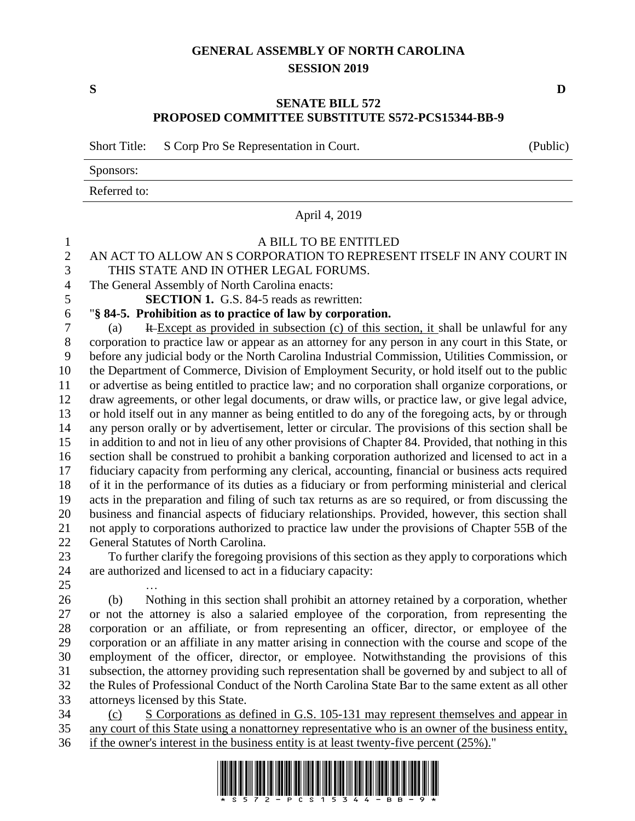## **GENERAL ASSEMBLY OF NORTH CAROLINA SESSION 2019**

## **SENATE BILL 572 PROPOSED COMMITTEE SUBSTITUTE S572-PCS15344-BB-9**

Short Title: S Corp Pro Se Representation in Court. (Public)

Sponsors:

Referred to:

April 4, 2019

## A BILL TO BE ENTITLED AN ACT TO ALLOW AN S CORPORATION TO REPRESENT ITSELF IN ANY COURT IN THIS STATE AND IN OTHER LEGAL FORUMS. The General Assembly of North Carolina enacts: **SECTION 1.** G.S. 84-5 reads as rewritten: "**§ 84-5. Prohibition as to practice of law by corporation.** (a) It Except as provided in subsection (c) of this section, it shall be unlawful for any corporation to practice law or appear as an attorney for any person in any court in this State, or before any judicial body or the North Carolina Industrial Commission, Utilities Commission, or the Department of Commerce, Division of Employment Security, or hold itself out to the public or advertise as being entitled to practice law; and no corporation shall organize corporations, or draw agreements, or other legal documents, or draw wills, or practice law, or give legal advice, or hold itself out in any manner as being entitled to do any of the foregoing acts, by or through any person orally or by advertisement, letter or circular. The provisions of this section shall be in addition to and not in lieu of any other provisions of Chapter 84. Provided, that nothing in this section shall be construed to prohibit a banking corporation authorized and licensed to act in a fiduciary capacity from performing any clerical, accounting, financial or business acts required of it in the performance of its duties as a fiduciary or from performing ministerial and clerical acts in the preparation and filing of such tax returns as are so required, or from discussing the business and financial aspects of fiduciary relationships. Provided, however, this section shall not apply to corporations authorized to practice law under the provisions of Chapter 55B of the General Statutes of North Carolina. To further clarify the foregoing provisions of this section as they apply to corporations which are authorized and licensed to act in a fiduciary capacity: … (b) Nothing in this section shall prohibit an attorney retained by a corporation, whether or not the attorney is also a salaried employee of the corporation, from representing the corporation or an affiliate, or from representing an officer, director, or employee of the

 corporation or an affiliate in any matter arising in connection with the course and scope of the employment of the officer, director, or employee. Notwithstanding the provisions of this subsection, the attorney providing such representation shall be governed by and subject to all of the Rules of Professional Conduct of the North Carolina State Bar to the same extent as all other attorneys licensed by this State.

 (c) S Corporations as defined in G.S. 105-131 may represent themselves and appear in any court of this State using a nonattorney representative who is an owner of the business entity, if the owner's interest in the business entity is at least twenty-five percent (25%)."



**S D**